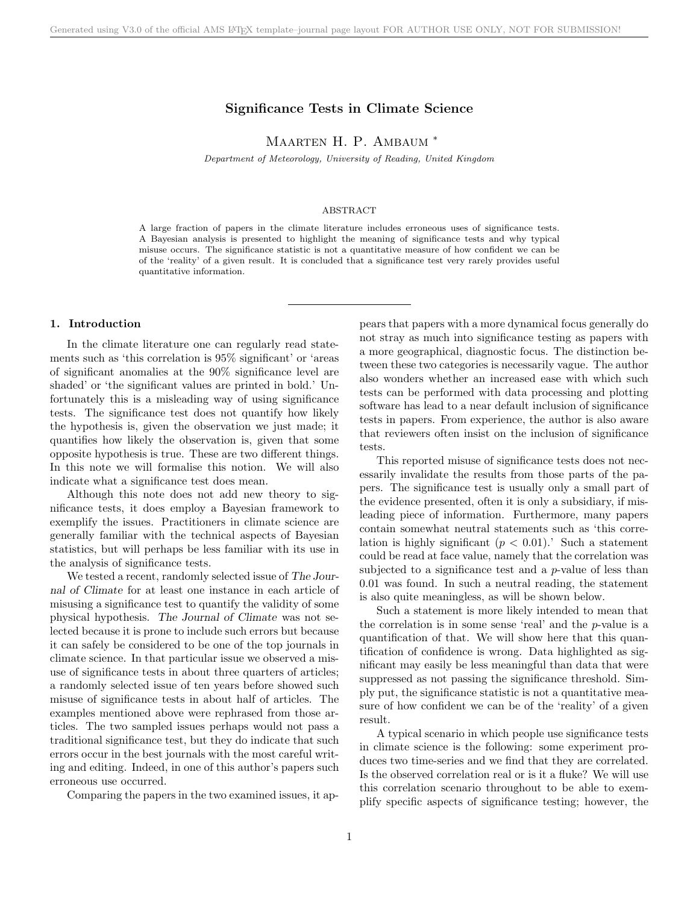# Significance Tests in Climate Science

MAARTEN H. P. AMBAUM <sup>\*</sup>

Department of Meteorology, University of Reading, United Kingdom

## ABSTRACT

A large fraction of papers in the climate literature includes erroneous uses of significance tests. A Bayesian analysis is presented to highlight the meaning of significance tests and why typical misuse occurs. The significance statistic is not a quantitative measure of how confident we can be of the 'reality' of a given result. It is concluded that a significance test very rarely provides useful quantitative information.

#### 1. Introduction

In the climate literature one can regularly read statements such as 'this correlation is 95% significant' or 'areas of significant anomalies at the 90% significance level are shaded' or 'the significant values are printed in bold.' Unfortunately this is a misleading way of using significance tests. The significance test does not quantify how likely the hypothesis is, given the observation we just made; it quantifies how likely the observation is, given that some opposite hypothesis is true. These are two different things. In this note we will formalise this notion. We will also indicate what a significance test does mean.

Although this note does not add new theory to significance tests, it does employ a Bayesian framework to exemplify the issues. Practitioners in climate science are generally familiar with the technical aspects of Bayesian statistics, but will perhaps be less familiar with its use in the analysis of significance tests.

We tested a recent, randomly selected issue of The Journal of Climate for at least one instance in each article of misusing a significance test to quantify the validity of some physical hypothesis. The Journal of Climate was not selected because it is prone to include such errors but because it can safely be considered to be one of the top journals in climate science. In that particular issue we observed a misuse of significance tests in about three quarters of articles; a randomly selected issue of ten years before showed such misuse of significance tests in about half of articles. The examples mentioned above were rephrased from those articles. The two sampled issues perhaps would not pass a traditional significance test, but they do indicate that such errors occur in the best journals with the most careful writing and editing. Indeed, in one of this author's papers such erroneous use occurred.

Comparing the papers in the two examined issues, it ap-

pears that papers with a more dynamical focus generally do not stray as much into significance testing as papers with a more geographical, diagnostic focus. The distinction between these two categories is necessarily vague. The author also wonders whether an increased ease with which such tests can be performed with data processing and plotting software has lead to a near default inclusion of significance tests in papers. From experience, the author is also aware that reviewers often insist on the inclusion of significance tests.

This reported misuse of significance tests does not necessarily invalidate the results from those parts of the papers. The significance test is usually only a small part of the evidence presented, often it is only a subsidiary, if misleading piece of information. Furthermore, many papers contain somewhat neutral statements such as 'this correlation is highly significant  $(p < 0.01)$ .' Such a statement could be read at face value, namely that the correlation was subjected to a significance test and a  $p$ -value of less than 0.01 was found. In such a neutral reading, the statement is also quite meaningless, as will be shown below.

Such a statement is more likely intended to mean that the correlation is in some sense 'real' and the  $p$ -value is a quantification of that. We will show here that this quantification of confidence is wrong. Data highlighted as significant may easily be less meaningful than data that were suppressed as not passing the significance threshold. Simply put, the significance statistic is not a quantitative measure of how confident we can be of the 'reality' of a given result.

A typical scenario in which people use significance tests in climate science is the following: some experiment produces two time-series and we find that they are correlated. Is the observed correlation real or is it a fluke? We will use this correlation scenario throughout to be able to exemplify specific aspects of significance testing; however, the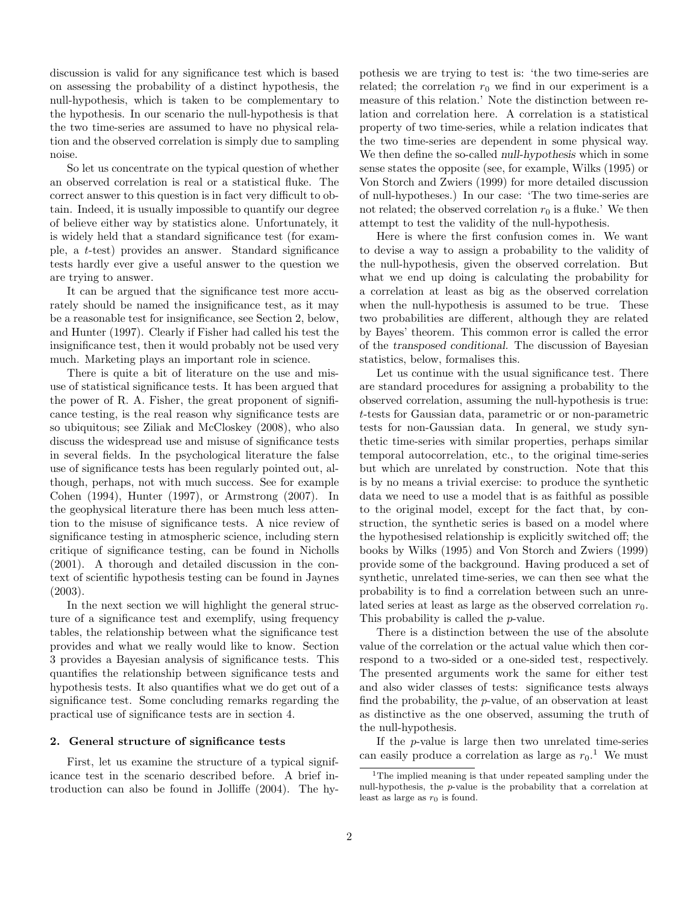discussion is valid for any significance test which is based on assessing the probability of a distinct hypothesis, the null-hypothesis, which is taken to be complementary to the hypothesis. In our scenario the null-hypothesis is that the two time-series are assumed to have no physical relation and the observed correlation is simply due to sampling noise.

So let us concentrate on the typical question of whether an observed correlation is real or a statistical fluke. The correct answer to this question is in fact very difficult to obtain. Indeed, it is usually impossible to quantify our degree of believe either way by statistics alone. Unfortunately, it is widely held that a standard significance test (for example, a t-test) provides an answer. Standard significance tests hardly ever give a useful answer to the question we are trying to answer.

It can be argued that the significance test more accurately should be named the insignificance test, as it may be a reasonable test for insignificance, see Section 2, below, and Hunter (1997). Clearly if Fisher had called his test the insignificance test, then it would probably not be used very much. Marketing plays an important role in science.

There is quite a bit of literature on the use and misuse of statistical significance tests. It has been argued that the power of R. A. Fisher, the great proponent of significance testing, is the real reason why significance tests are so ubiquitous; see Ziliak and McCloskey (2008), who also discuss the widespread use and misuse of significance tests in several fields. In the psychological literature the false use of significance tests has been regularly pointed out, although, perhaps, not with much success. See for example Cohen (1994), Hunter (1997), or Armstrong (2007). In the geophysical literature there has been much less attention to the misuse of significance tests. A nice review of significance testing in atmospheric science, including stern critique of significance testing, can be found in Nicholls (2001). A thorough and detailed discussion in the context of scientific hypothesis testing can be found in Jaynes (2003).

In the next section we will highlight the general structure of a significance test and exemplify, using frequency tables, the relationship between what the significance test provides and what we really would like to know. Section 3 provides a Bayesian analysis of significance tests. This quantifies the relationship between significance tests and hypothesis tests. It also quantifies what we do get out of a significance test. Some concluding remarks regarding the practical use of significance tests are in section 4.

# 2. General structure of significance tests

First, let us examine the structure of a typical significance test in the scenario described before. A brief introduction can also be found in Jolliffe (2004). The hypothesis we are trying to test is: 'the two time-series are related; the correlation  $r_0$  we find in our experiment is a measure of this relation.' Note the distinction between relation and correlation here. A correlation is a statistical property of two time-series, while a relation indicates that the two time-series are dependent in some physical way. We then define the so-called null-hypothesis which in some sense states the opposite (see, for example, Wilks (1995) or Von Storch and Zwiers (1999) for more detailed discussion of null-hypotheses.) In our case: 'The two time-series are not related; the observed correlation  $r_0$  is a fluke.' We then attempt to test the validity of the null-hypothesis.

Here is where the first confusion comes in. We want to devise a way to assign a probability to the validity of the null-hypothesis, given the observed correlation. But what we end up doing is calculating the probability for a correlation at least as big as the observed correlation when the null-hypothesis is assumed to be true. These two probabilities are different, although they are related by Bayes' theorem. This common error is called the error of the transposed conditional. The discussion of Bayesian statistics, below, formalises this.

Let us continue with the usual significance test. There are standard procedures for assigning a probability to the observed correlation, assuming the null-hypothesis is true: t-tests for Gaussian data, parametric or or non-parametric tests for non-Gaussian data. In general, we study synthetic time-series with similar properties, perhaps similar temporal autocorrelation, etc., to the original time-series but which are unrelated by construction. Note that this is by no means a trivial exercise: to produce the synthetic data we need to use a model that is as faithful as possible to the original model, except for the fact that, by construction, the synthetic series is based on a model where the hypothesised relationship is explicitly switched off; the books by Wilks (1995) and Von Storch and Zwiers (1999) provide some of the background. Having produced a set of synthetic, unrelated time-series, we can then see what the probability is to find a correlation between such an unrelated series at least as large as the observed correlation  $r_0$ . This probability is called the p-value.

There is a distinction between the use of the absolute value of the correlation or the actual value which then correspond to a two-sided or a one-sided test, respectively. The presented arguments work the same for either test and also wider classes of tests: significance tests always find the probability, the p-value, of an observation at least as distinctive as the one observed, assuming the truth of the null-hypothesis.

If the p-value is large then two unrelated time-series can easily produce a correlation as large as  $r_0$ .<sup>1</sup> We must

<sup>1</sup>The implied meaning is that under repeated sampling under the null-hypothesis, the p-value is the probability that a correlation at least as large as  $r_0$  is found.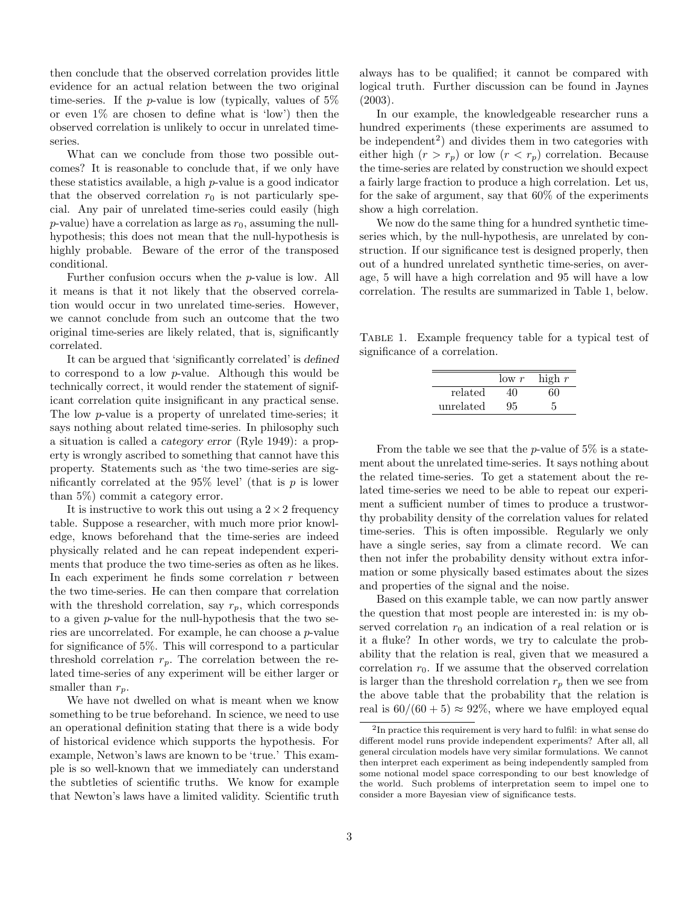then conclude that the observed correlation provides little evidence for an actual relation between the two original time-series. If the *p*-value is low (typically, values of  $5\%$ or even 1% are chosen to define what is 'low') then the observed correlation is unlikely to occur in unrelated timeseries.

What can we conclude from those two possible outcomes? It is reasonable to conclude that, if we only have these statistics available, a high p-value is a good indicator that the observed correlation  $r_0$  is not particularly special. Any pair of unrelated time-series could easily (high  $p$ -value) have a correlation as large as  $r_0$ , assuming the nullhypothesis; this does not mean that the null-hypothesis is highly probable. Beware of the error of the transposed conditional.

Further confusion occurs when the p-value is low. All it means is that it not likely that the observed correlation would occur in two unrelated time-series. However, we cannot conclude from such an outcome that the two original time-series are likely related, that is, significantly correlated.

It can be argued that 'significantly correlated' is defined to correspond to a low p-value. Although this would be technically correct, it would render the statement of significant correlation quite insignificant in any practical sense. The low p-value is a property of unrelated time-series; it says nothing about related time-series. In philosophy such a situation is called a category error (Ryle 1949): a property is wrongly ascribed to something that cannot have this property. Statements such as 'the two time-series are significantly correlated at the  $95\%$  level' (that is p is lower than 5%) commit a category error.

It is instructive to work this out using a  $2 \times 2$  frequency table. Suppose a researcher, with much more prior knowledge, knows beforehand that the time-series are indeed physically related and he can repeat independent experiments that produce the two time-series as often as he likes. In each experiment he finds some correlation  $r$  between the two time-series. He can then compare that correlation with the threshold correlation, say  $r_p$ , which corresponds to a given p-value for the null-hypothesis that the two series are uncorrelated. For example, he can choose a p-value for significance of 5%. This will correspond to a particular threshold correlation  $r_p$ . The correlation between the related time-series of any experiment will be either larger or smaller than  $r_p$ .

We have not dwelled on what is meant when we know something to be true beforehand. In science, we need to use an operational definition stating that there is a wide body of historical evidence which supports the hypothesis. For example, Netwon's laws are known to be 'true.' This example is so well-known that we immediately can understand the subtleties of scientific truths. We know for example that Newton's laws have a limited validity. Scientific truth always has to be qualified; it cannot be compared with logical truth. Further discussion can be found in Jaynes (2003).

In our example, the knowledgeable researcher runs a hundred experiments (these experiments are assumed to be independent<sup>2</sup>) and divides them in two categories with either high  $(r > r_p)$  or low  $(r < r_p)$  correlation. Because the time-series are related by construction we should expect a fairly large fraction to produce a high correlation. Let us, for the sake of argument, say that 60% of the experiments show a high correlation.

We now do the same thing for a hundred synthetic timeseries which, by the null-hypothesis, are unrelated by construction. If our significance test is designed properly, then out of a hundred unrelated synthetic time-series, on average, 5 will have a high correlation and 95 will have a low correlation. The results are summarized in Table 1, below.

Table 1. Example frequency table for a typical test of significance of a correlation.

|           | low r | high $r$ |
|-----------|-------|----------|
| related   |       | 60       |
| unrelated | 95    |          |

From the table we see that the *p*-value of  $5\%$  is a statement about the unrelated time-series. It says nothing about the related time-series. To get a statement about the related time-series we need to be able to repeat our experiment a sufficient number of times to produce a trustworthy probability density of the correlation values for related time-series. This is often impossible. Regularly we only have a single series, say from a climate record. We can then not infer the probability density without extra information or some physically based estimates about the sizes and properties of the signal and the noise.

Based on this example table, we can now partly answer the question that most people are interested in: is my observed correlation  $r_0$  an indication of a real relation or is it a fluke? In other words, we try to calculate the probability that the relation is real, given that we measured a correlation  $r_0$ . If we assume that the observed correlation is larger than the threshold correlation  $r_p$  then we see from the above table that the probability that the relation is real is  $60/(60+5) \approx 92\%$ , where we have employed equal

<sup>&</sup>lt;sup>2</sup>In practice this requirement is very hard to fulfil: in what sense do different model runs provide independent experiments? After all, all general circulation models have very similar formulations. We cannot then interpret each experiment as being independently sampled from some notional model space corresponding to our best knowledge of the world. Such problems of interpretation seem to impel one to consider a more Bayesian view of significance tests.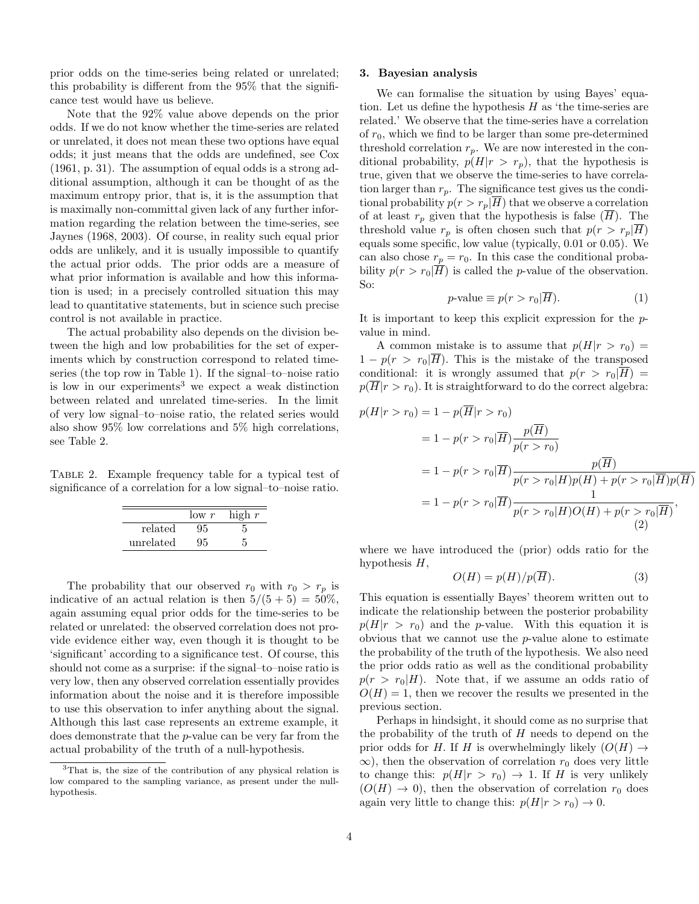prior odds on the time-series being related or unrelated; this probability is different from the 95% that the significance test would have us believe.

Note that the 92% value above depends on the prior odds. If we do not know whether the time-series are related or unrelated, it does not mean these two options have equal odds; it just means that the odds are undefined, see Cox (1961, p. 31). The assumption of equal odds is a strong additional assumption, although it can be thought of as the maximum entropy prior, that is, it is the assumption that is maximally non-committal given lack of any further information regarding the relation between the time-series, see Jaynes (1968, 2003). Of course, in reality such equal prior odds are unlikely, and it is usually impossible to quantify the actual prior odds. The prior odds are a measure of what prior information is available and how this information is used; in a precisely controlled situation this may lead to quantitative statements, but in science such precise control is not available in practice.

The actual probability also depends on the division between the high and low probabilities for the set of experiments which by construction correspond to related timeseries (the top row in Table 1). If the signal–to–noise ratio is low in our experiments<sup>3</sup> we expect a weak distinction between related and unrelated time-series. In the limit of very low signal–to–noise ratio, the related series would also show 95% low correlations and 5% high correlations, see Table 2.

Table 2. Example frequency table for a typical test of significance of a correlation for a low signal–to–noise ratio.

|           | $\frac{\text{low } r}{\text{low } r}$ | high $r$ |
|-----------|---------------------------------------|----------|
| related   | 95                                    |          |
| unrelated |                                       |          |

The probability that our observed  $r_0$  with  $r_0 > r_p$  is indicative of an actual relation is then  $5/(5+5) = 50\%$ , again assuming equal prior odds for the time-series to be related or unrelated: the observed correlation does not provide evidence either way, even though it is thought to be 'significant' according to a significance test. Of course, this should not come as a surprise: if the signal–to–noise ratio is very low, then any observed correlation essentially provides information about the noise and it is therefore impossible to use this observation to infer anything about the signal. Although this last case represents an extreme example, it does demonstrate that the p-value can be very far from the actual probability of the truth of a null-hypothesis.

## 3. Bayesian analysis

We can formalise the situation by using Bayes' equation. Let us define the hypothesis  $H$  as 'the time-series are related.' We observe that the time-series have a correlation of  $r_0$ , which we find to be larger than some pre-determined threshold correlation  $r_p$ . We are now interested in the conditional probability,  $p(H|r > r_p)$ , that the hypothesis is true, given that we observe the time-series to have correlation larger than  $r_p$ . The significance test gives us the conditional probability  $p(r > r_p|\overline{H})$  that we observe a correlation of at least  $r_p$  given that the hypothesis is false  $(H)$ . The threshold value  $r_p$  is often chosen such that  $p(r > r_p|H)$ equals some specific, low value (typically, 0.01 or 0.05). We can also chose  $r_p = r_0$ . In this case the conditional probability  $p(r > r_0|\overline{H})$  is called the *p*-value of the observation. So:

$$
p\text{-value} \equiv p(r > r_0 | \overline{H}).\tag{1}
$$

It is important to keep this explicit expression for the pvalue in mind.

A common mistake is to assume that  $p(H|r > r_0)$  $1 - p(r > r_0|\overline{H})$ . This is the mistake of the transposed conditional: it is wrongly assumed that  $p(r > r_0|\overline{H}) =$  $p(\overline{H}|r > r_0)$ . It is straightforward to do the correct algebra:

$$
p(H|r > r_0) = 1 - p(\overline{H}|r > r_0)
$$
  
= 1 - p(r > r\_0|\overline{H}) \frac{p(\overline{H})}{p(r > r\_0)}  
= 1 - p(r > r\_0|\overline{H}) \frac{p(\overline{H})}{p(r > r\_0|H)p(H) + p(r > r\_0|\overline{H})p(\overline{H})}  
= 1 - p(r > r\_0|\overline{H}) \frac{1}{p(r > r\_0|H)O(H) + p(r > r\_0|\overline{H})}, (2)

where we have introduced the (prior) odds ratio for the hypothesis  $H$ ,

$$
O(H) = p(H)/p(\overline{H}).
$$
\n(3)

This equation is essentially Bayes' theorem written out to indicate the relationship between the posterior probability  $p(H|r > r_0)$  and the *p*-value. With this equation it is obvious that we cannot use the p-value alone to estimate the probability of the truth of the hypothesis. We also need the prior odds ratio as well as the conditional probability  $p(r > r_0|H)$ . Note that, if we assume an odds ratio of  $O(H) = 1$ , then we recover the results we presented in the previous section.

Perhaps in hindsight, it should come as no surprise that the probability of the truth of  $H$  needs to depend on the prior odds for H. If H is overwhelmingly likely  $(O(H) \rightarrow$  $\infty$ ), then the observation of correlation  $r_0$  does very little to change this:  $p(H|r > r_0) \rightarrow 1$ . If H is very unlikely  $(O(H) \rightarrow 0)$ , then the observation of correlation  $r_0$  does again very little to change this:  $p(H|r > r_0) \rightarrow 0$ .

<sup>3</sup>That is, the size of the contribution of any physical relation is low compared to the sampling variance, as present under the nullhypothesis.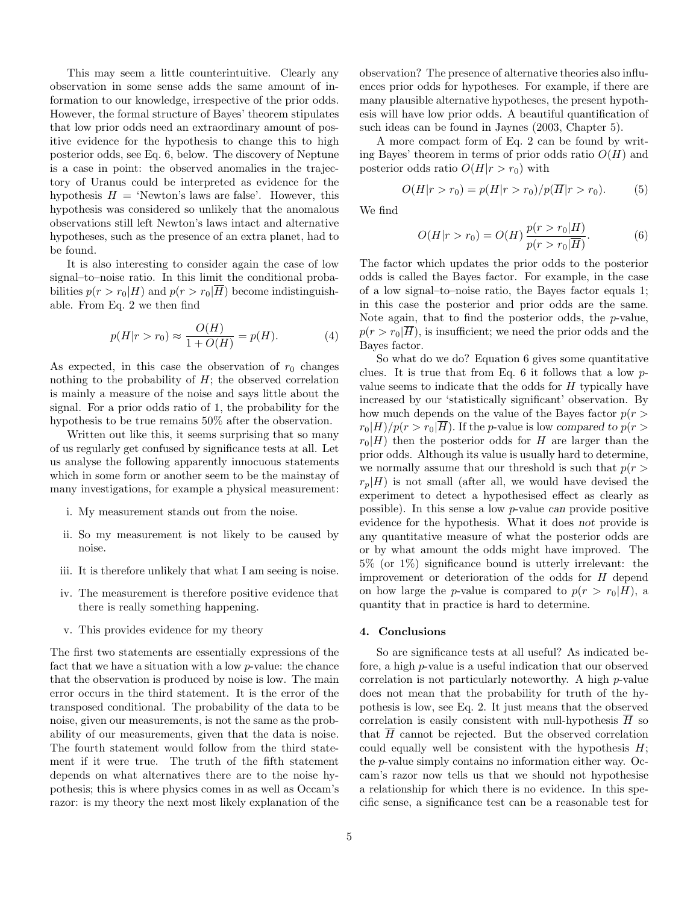This may seem a little counterintuitive. Clearly any observation in some sense adds the same amount of information to our knowledge, irrespective of the prior odds. However, the formal structure of Bayes' theorem stipulates that low prior odds need an extraordinary amount of positive evidence for the hypothesis to change this to high posterior odds, see Eq. 6, below. The discovery of Neptune is a case in point: the observed anomalies in the trajectory of Uranus could be interpreted as evidence for the hypothesis  $H = 'Newton's laws are false'. However, this$ hypothesis was considered so unlikely that the anomalous observations still left Newton's laws intact and alternative hypotheses, such as the presence of an extra planet, had to be found.

It is also interesting to consider again the case of low signal–to–noise ratio. In this limit the conditional probabilities  $p(r > r_0|H)$  and  $p(r > r_0|H)$  become indistinguishable. From Eq. 2 we then find

$$
p(H|r > r_0) \approx \frac{O(H)}{1 + O(H)} = p(H).
$$
 (4)

As expected, in this case the observation of  $r_0$  changes nothing to the probability of  $H$ ; the observed correlation is mainly a measure of the noise and says little about the signal. For a prior odds ratio of 1, the probability for the hypothesis to be true remains 50% after the observation.

Written out like this, it seems surprising that so many of us regularly get confused by significance tests at all. Let us analyse the following apparently innocuous statements which in some form or another seem to be the mainstay of many investigations, for example a physical measurement:

- i. My measurement stands out from the noise.
- ii. So my measurement is not likely to be caused by noise.
- iii. It is therefore unlikely that what I am seeing is noise.
- iv. The measurement is therefore positive evidence that there is really something happening.
- v. This provides evidence for my theory

The first two statements are essentially expressions of the fact that we have a situation with a low p-value: the chance that the observation is produced by noise is low. The main error occurs in the third statement. It is the error of the transposed conditional. The probability of the data to be noise, given our measurements, is not the same as the probability of our measurements, given that the data is noise. The fourth statement would follow from the third statement if it were true. The truth of the fifth statement depends on what alternatives there are to the noise hypothesis; this is where physics comes in as well as Occam's razor: is my theory the next most likely explanation of the observation? The presence of alternative theories also influences prior odds for hypotheses. For example, if there are many plausible alternative hypotheses, the present hypothesis will have low prior odds. A beautiful quantification of such ideas can be found in Jaynes (2003, Chapter 5).

A more compact form of Eq. 2 can be found by writing Bayes' theorem in terms of prior odds ratio  $O(H)$  and posterior odds ratio  $O(H|r > r_0)$  with

$$
O(H|r > r_0) = p(H|r > r_0)/p(\overline{H}|r > r_0).
$$
 (5)

We find

$$
O(H|r > r_0) = O(H) \frac{p(r > r_0|H)}{p(r > r_0|\overline{H})}.
$$
 (6)

The factor which updates the prior odds to the posterior odds is called the Bayes factor. For example, in the case of a low signal–to–noise ratio, the Bayes factor equals 1; in this case the posterior and prior odds are the same. Note again, that to find the posterior odds, the p-value,  $p(r > r_0|\overline{H})$ , is insufficient; we need the prior odds and the Bayes factor.

So what do we do? Equation 6 gives some quantitative clues. It is true that from Eq. 6 it follows that a low pvalue seems to indicate that the odds for H typically have increased by our 'statistically significant' observation. By how much depends on the value of the Bayes factor  $p(r >$  $r_0|H)/p(r > r_0|H)$ . If the p-value is low compared to  $p(r > r_0|H)/p(r > r_0|H)$  $r_0|H$ ) then the posterior odds for H are larger than the prior odds. Although its value is usually hard to determine, we normally assume that our threshold is such that  $p(r >$  $r_p|H$ ) is not small (after all, we would have devised the experiment to detect a hypothesised effect as clearly as possible). In this sense a low p-value can provide positive evidence for the hypothesis. What it does not provide is any quantitative measure of what the posterior odds are or by what amount the odds might have improved. The 5% (or 1%) significance bound is utterly irrelevant: the improvement or deterioration of the odds for H depend on how large the p-value is compared to  $p(r > r_0|H)$ , a quantity that in practice is hard to determine.

#### 4. Conclusions

So are significance tests at all useful? As indicated before, a high p-value is a useful indication that our observed correlation is not particularly noteworthy. A high p-value does not mean that the probability for truth of the hypothesis is low, see Eq. 2. It just means that the observed correlation is easily consistent with null-hypothesis  $\overline{H}$  so that  $\overline{H}$  cannot be rejected. But the observed correlation could equally well be consistent with the hypothesis  $H$ ; the p-value simply contains no information either way. Occam's razor now tells us that we should not hypothesise a relationship for which there is no evidence. In this specific sense, a significance test can be a reasonable test for